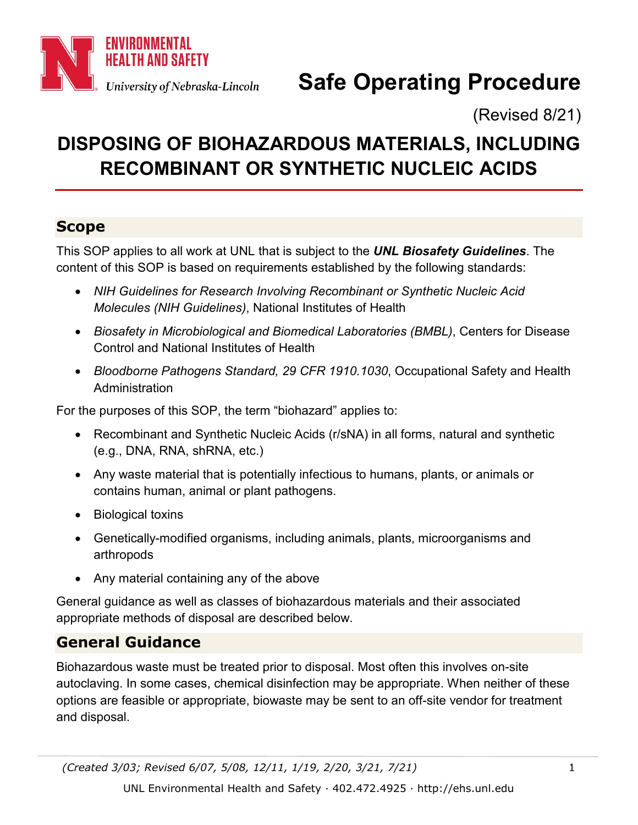

# **Safe Operating Procedure**

(Revised 8/21)

## **DISPOSING OF BIOHAZARDOUS MATERIALS, INCLUDING RECOMBINANT OR SYNTHETIC NUCLEIC ACIDS**

## **Scope**

This SOP applies to all work at UNL that is subject to the *UNL Biosafety Guidelines*. The content of this SOP is based on requirements established by the following standards:

- *NIH Guidelines for Research Involving Recombinant or Synthetic Nucleic Acid Molecules (NIH Guidelines)*, National Institutes of Health
- *Biosafety in Microbiological and Biomedical Laboratories (BMBL)*, Centers for Disease Control and National Institutes of Health
- *Bloodborne Pathogens Standard, 29 CFR 1910.1030*, Occupational Safety and Health Administration

For the purposes of this SOP, the term "biohazard" applies to:

- Recombinant and Synthetic Nucleic Acids (r/sNA) in all forms, natural and synthetic (e.g., DNA, RNA, shRNA, etc.)
- Any waste material that is potentially infectious to humans, plants, or animals or contains human, animal or plant pathogens.
- Biological toxins
- Genetically-modified organisms, including animals, plants, microorganisms and arthropods
- Any material containing any of the above

General guidance as well as classes of biohazardous materials and their associated appropriate methods of disposal are described below.

## **General Guidance**

Biohazardous waste must be treated prior to disposal. Most often this involves on-site autoclaving. In some cases, chemical disinfection may be appropriate. When neither of these options are feasible or appropriate, biowaste may be sent to an off-site vendor for treatment and disposal.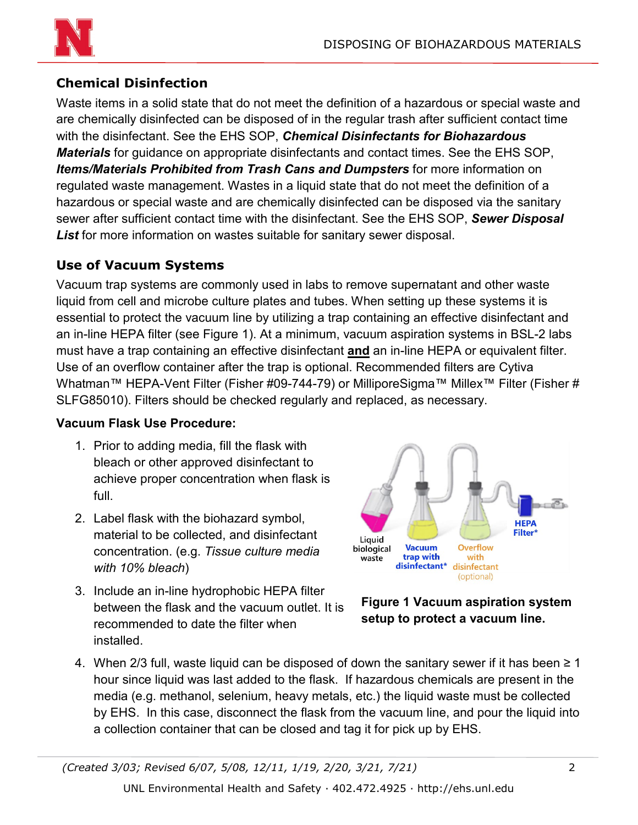

### **Chemical Disinfection**

Waste items in a solid state that do not meet the definition of a hazardous or special waste and are chemically disinfected can be disposed of in the regular trash after sufficient contact time with the disinfectant. See the EHS SOP, *Chemical Disinfectants for Biohazardous Materials* for guidance on appropriate disinfectants and contact times. See the EHS SOP, *Items/Materials Prohibited from Trash Cans and Dumpsters* for more information on regulated waste management. Wastes in a liquid state that do not meet the definition of a hazardous or special waste and are chemically disinfected can be disposed via the sanitary sewer after sufficient contact time with the disinfectant. See the EHS SOP, *Sewer Disposal List* for more information on wastes suitable for sanitary sewer disposal.

#### **Use of Vacuum Systems**

Vacuum trap systems are commonly used in labs to remove supernatant and other waste liquid from cell and microbe culture plates and tubes. When setting up these systems it is essential to protect the vacuum line by utilizing a trap containing an effective disinfectant and an in-line HEPA filter (see Figure 1). At a minimum, vacuum aspiration systems in BSL-2 labs must have a trap containing an effective disinfectant **and** an in-line HEPA or equivalent filter. Use of an overflow container after the trap is optional. Recommended filters are Cytiva Whatman™ HEPA-Vent Filter (Fisher #09-744-79) or MilliporeSigma™ Millex™ Filter (Fisher # SLFG85010). Filters should be checked regularly and replaced, as necessary.

#### **Vacuum Flask Use Procedure:**

- 1. Prior to adding media, fill the flask with bleach or other approved disinfectant to achieve proper concentration when flask is full.
- 2. Label flask with the biohazard symbol, material to be collected, and disinfectant concentration. (e.g. *Tissue culture media with 10% bleach*)
- 3. Include an in-line hydrophobic HEPA filter between the flask and the vacuum outlet. It is recommended to date the filter when installed.



**Figure 1 Vacuum aspiration system setup to protect a vacuum line.**

4. When 2/3 full, waste liquid can be disposed of down the sanitary sewer if it has been  $\geq 1$ hour since liquid was last added to the flask. If hazardous chemicals are present in the media (e.g. methanol, selenium, heavy metals, etc.) the liquid waste must be collected by EHS. In this case, disconnect the flask from the vacuum line, and pour the liquid into a collection container that can be closed and tag it for pick up by EHS.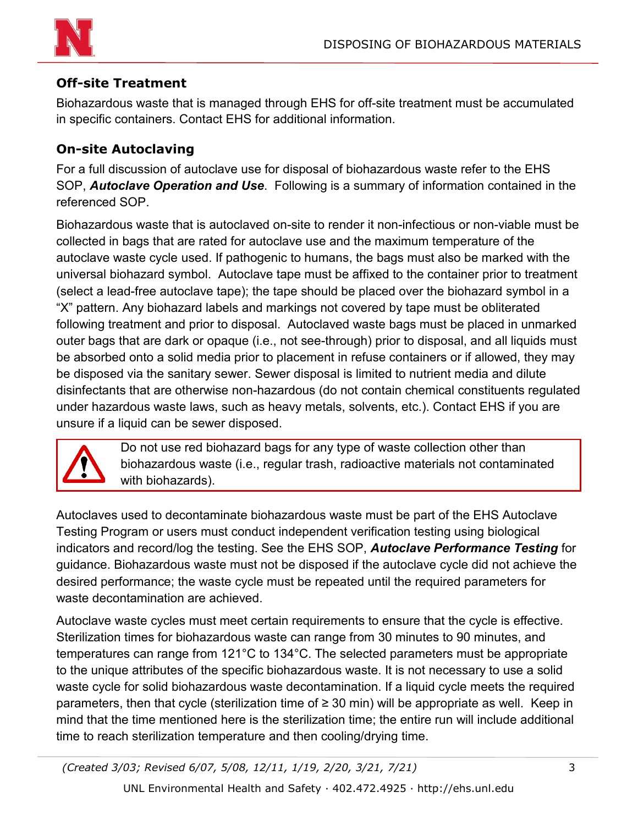

#### **Off-site Treatment**

Biohazardous waste that is managed through EHS for off-site treatment must be accumulated in specific containers. Contact EHS for additional information.

#### **On-site Autoclaving**

For a full discussion of autoclave use for disposal of biohazardous waste refer to the EHS SOP, *Autoclave Operation and Use*. Following is a summary of information contained in the referenced SOP.

Biohazardous waste that is autoclaved on-site to render it non-infectious or non-viable must be collected in bags that are rated for autoclave use and the maximum temperature of the autoclave waste cycle used. If pathogenic to humans, the bags must also be marked with the universal biohazard symbol. Autoclave tape must be affixed to the container prior to treatment (select a lead-free autoclave tape); the tape should be placed over the biohazard symbol in a "X" pattern. Any biohazard labels and markings not covered by tape must be obliterated following treatment and prior to disposal. Autoclaved waste bags must be placed in unmarked outer bags that are dark or opaque (i.e., not see-through) prior to disposal, and all liquids must be absorbed onto a solid media prior to placement in refuse containers or if allowed, they may be disposed via the sanitary sewer. Sewer disposal is limited to nutrient media and dilute disinfectants that are otherwise non-hazardous (do not contain chemical constituents regulated under hazardous waste laws, such as heavy metals, solvents, etc.). Contact EHS if you are unsure if a liquid can be sewer disposed.



Do not use red biohazard bags for any type of waste collection other than biohazardous waste (i.e., regular trash, radioactive materials not contaminated with biohazards).

Autoclaves used to decontaminate biohazardous waste must be part of the EHS Autoclave Testing Program or users must conduct independent verification testing using biological indicators and record/log the testing. See the EHS SOP, *Autoclave Performance Testing* for guidance. Biohazardous waste must not be disposed if the autoclave cycle did not achieve the desired performance; the waste cycle must be repeated until the required parameters for waste decontamination are achieved.

Autoclave waste cycles must meet certain requirements to ensure that the cycle is effective. Sterilization times for biohazardous waste can range from 30 minutes to 90 minutes, and temperatures can range from 121°C to 134°C. The selected parameters must be appropriate to the unique attributes of the specific biohazardous waste. It is not necessary to use a solid waste cycle for solid biohazardous waste decontamination. If a liquid cycle meets the required parameters, then that cycle (sterilization time of ≥ 30 min) will be appropriate as well. Keep in mind that the time mentioned here is the sterilization time; the entire run will include additional time to reach sterilization temperature and then cooling/drying time.

*(Created 3/03; Revised 6/07, 5/08, 12/11, 1/19, 2/20, 3/21, 7/21)* 3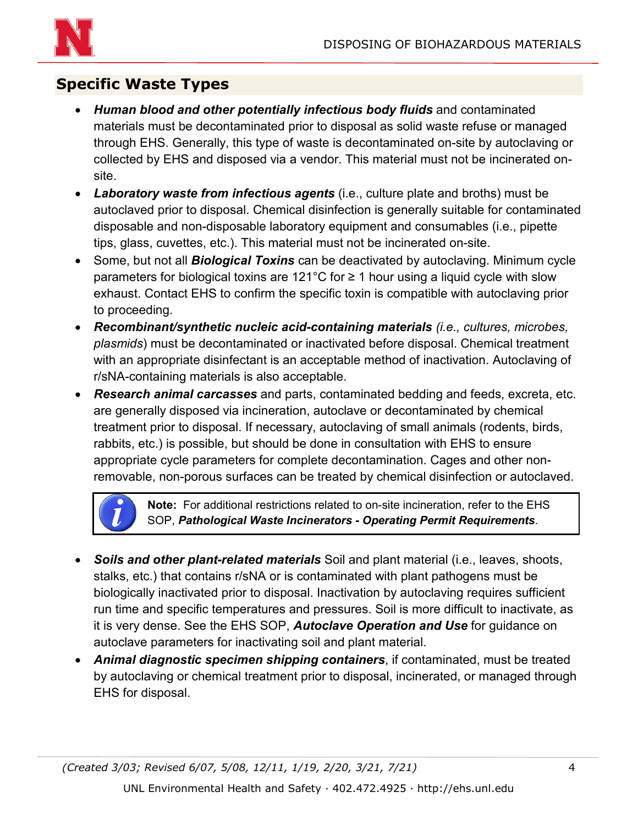

## **Specific Waste Types**

- *Human blood and other potentially infectious body fluids* and contaminated materials must be decontaminated prior to disposal as solid waste refuse or managed through EHS. Generally, this type of waste is decontaminated on-site by autoclaving or collected by EHS and disposed via a vendor. This material must not be incinerated onsite.
- *Laboratory waste from infectious agents* (i.e., culture plate and broths) must be autoclaved prior to disposal. Chemical disinfection is generally suitable for contaminated disposable and non-disposable laboratory equipment and consumables (i.e., pipette tips, glass, cuvettes, etc.). This material must not be incinerated on-site.
- Some, but not all *Biological Toxins* can be deactivated by autoclaving. Minimum cycle parameters for biological toxins are 121°C for  $\geq$  1 hour using a liquid cycle with slow exhaust. Contact EHS to confirm the specific toxin is compatible with autoclaving prior to proceeding.
- *Recombinant/synthetic nucleic acid-containing materials (i.e., cultures, microbes, plasmids*) must be decontaminated or inactivated before disposal. Chemical treatment with an appropriate disinfectant is an acceptable method of inactivation. Autoclaving of r/sNA-containing materials is also acceptable.
- *Research animal carcasses* and parts, contaminated bedding and feeds, excreta, etc. are generally disposed via incineration, autoclave or decontaminated by chemical treatment prior to disposal. If necessary, autoclaving of small animals (rodents, birds, rabbits, etc.) is possible, but should be done in consultation with EHS to ensure appropriate cycle parameters for complete decontamination. Cages and other nonremovable, non-porous surfaces can be treated by chemical disinfection or autoclaved.



**Note:** For additional restrictions related to on-site incineration, refer to the EHS SOP, *Pathological Waste Incinerators - Operating Permit Requirements*.

- *Soils and other plant-related materials* Soil and plant material (i.e., leaves, shoots, stalks, etc.) that contains r/sNA or is contaminated with plant pathogens must be biologically inactivated prior to disposal. Inactivation by autoclaving requires sufficient run time and specific temperatures and pressures. Soil is more difficult to inactivate, as it is very dense. See the EHS SOP, *Autoclave Operation and Use* for guidance on autoclave parameters for inactivating soil and plant material.
- *Animal diagnostic specimen shipping containers*, if contaminated, must be treated by autoclaving or chemical treatment prior to disposal, incinerated, or managed through EHS for disposal.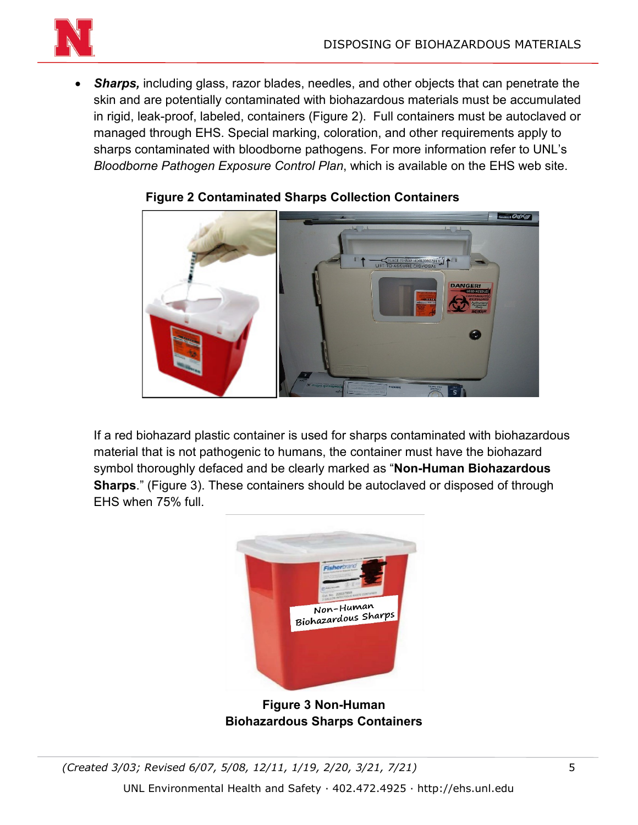

• *Sharps,* including glass, razor blades, needles, and other objects that can penetrate the skin and are potentially contaminated with biohazardous materials must be accumulated in rigid, leak-proof, labeled, containers (Figure 2). Full containers must be autoclaved or managed through EHS. Special marking, coloration, and other requirements apply to sharps contaminated with bloodborne pathogens. For more information refer to UNL's *Bloodborne Pathogen Exposure Control Plan*, which is available on the EHS web site.



#### **Figure 2 Contaminated Sharps Collection Containers**

If a red biohazard plastic container is used for sharps contaminated with biohazardous material that is not pathogenic to humans, the container must have the biohazard symbol thoroughly defaced and be clearly marked as "**Non-Human Biohazardous Sharps**." (Figure 3). These containers should be autoclaved or disposed of through EHS when 75% full.



**Figure 3 Non-Human Biohazardous Sharps Containers**